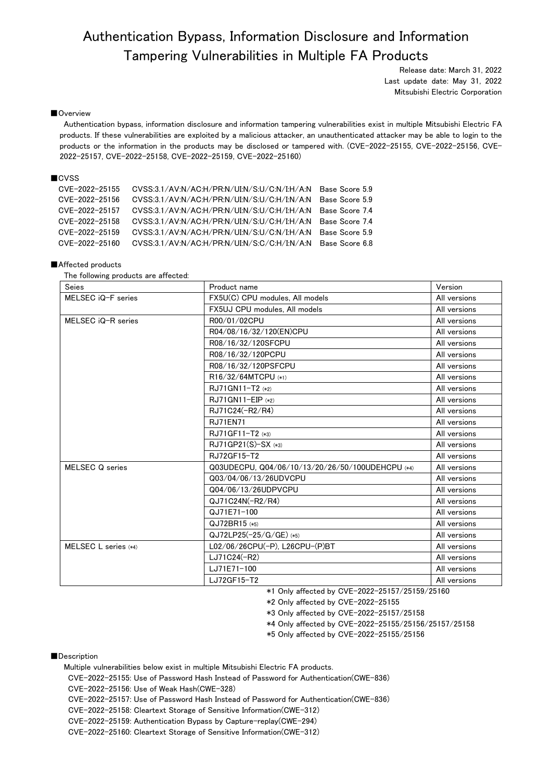# Authentication Bypass, Information Disclosure and Information Tampering Vulnerabilities in Multiple FA Products

Release date: March 31, 2022 Last update date: May 31, 2022 Mitsubishi Electric Corporation

## ■Overview

Authentication bypass, information disclosure and information tampering vulnerabilities exist in multiple Mitsubishi Electric FA products. If these vulnerabilities are exploited by a malicious attacker, an unauthenticated attacker may be able to login to the products or the information in the products may be disclosed or tampered with. (CVE-2022-25155, CVE-2022-25156, CVE-2022-25157, CVE-2022-25158, CVE-2022-25159, CVE-2022-25160)

# ■CVSS

| CVE-2022-25155 | CVSS:3.1/AV:N/AC:H/PR:N/UI:N/S:U/C:N/I:H/A:N Base Score 5.9 |                |
|----------------|-------------------------------------------------------------|----------------|
| CVE-2022-25156 | CVSS:3.1/AV:N/AC:H/PR:N/UI:N/S:U/C:H/I:N/A:N Base Score 5.9 |                |
| CVE-2022-25157 | CVSS:3.1/AV:N/AC:H/PR:N/UI:N/S:U/C:H/I:H/A:N Base Score 7.4 |                |
| CVE-2022-25158 | CVSS:3.1/AV:N/AC:H/PR:N/UI:N/S:U/C:H/I:H/A:N Base Score 7.4 |                |
| CVE-2022-25159 | CVSS:3.1/AV:N/AC:H/PR:N/UI:N/S:U/C:N/I:H/A:N Base Score 5.9 |                |
| CVE-2022-25160 | CVSS:3.1/AV:N/AC:H/PR:N/UI:N/S:C/C:H/I:N/A:N                | Base Score 6.8 |

## ■Affected products

| The following products are affected: |  |  |  |  |  |
|--------------------------------------|--|--|--|--|--|
|--------------------------------------|--|--|--|--|--|

| <b>Seies</b>         | Product name                                     | Version      |
|----------------------|--------------------------------------------------|--------------|
| MELSEC iQ-F series   | FX5U(C) CPU modules. All models                  | All versions |
|                      | FX5UJ CPU modules, All models                    | All versions |
| MELSEC iQ-R series   | R00/01/02CPU                                     | All versions |
|                      | R04/08/16/32/120(EN)CPU                          | All versions |
|                      | R08/16/32/120SFCPU                               | All versions |
|                      | R08/16/32/120PCPU                                | All versions |
|                      | R08/16/32/120PSFCPU                              | All versions |
|                      | R16/32/64MTCPU (*1)                              | All versions |
|                      | RJ71GN11-T2 (*2)                                 | All versions |
|                      | $RJ71GN11-EIP$ (*2)                              | All versions |
|                      | RJ71C24(-R2/R4)                                  | All versions |
|                      | <b>RJ71EN71</b>                                  | All versions |
|                      | RJ71GF11-T2 (*3)                                 | All versions |
|                      | $RJ71GP21(S)-SX$ (*3)                            | All versions |
|                      | RJ72GF15-T2                                      | All versions |
| MELSEC Q series      | Q03UDECPU, Q04/06/10/13/20/26/50/100UDEHCPU (*4) | All versions |
|                      | Q03/04/06/13/26UDVCPU                            | All versions |
|                      | Q04/06/13/26UDPVCPU                              | All versions |
|                      | QJ71C24N(-R2/R4)                                 | All versions |
|                      | QJ71E71-100                                      | All versions |
|                      | QJ72BR15 (*5)                                    | All versions |
|                      | QJ72LP25(-25/G/GE) (*5)                          | All versions |
| MELSEC L series (*4) | L02/06/26CPU(-P), L26CPU-(P)BT                   | All versions |
|                      | LJ71C24(-R2)                                     | All versions |
|                      | LJ71E71-100                                      | All versions |
|                      | LJ72GF15-T2                                      | All versions |

\*1 Only affected by CVE-2022-25157/25159/25160

\*2 Only affected by CVE-2022-25155

\*3 Only affected by CVE-2022-25157/25158

\*4 Only affected by CVE-2022-25155/25156/25157/25158

\*5 Only affected by CVE-2022-25155/25156

#### ■Description

Multiple vulnerabilities below exist in multiple Mitsubishi Electric FA products.

CVE-2022-25155: Use of Password Hash Instead of Password for Authentication(CWE-836)

CVE-2022-25156: Use of Weak Hash(CWE-328)

CVE-2022-25157: Use of Password Hash Instead of Password for Authentication(CWE-836)

CVE-2022-25158: Cleartext Storage of Sensitive Information(CWE-312)

CVE-2022-25159: Authentication Bypass by Capture-replay(CWE-294)

CVE-2022-25160: Cleartext Storage of Sensitive Information(CWE-312)